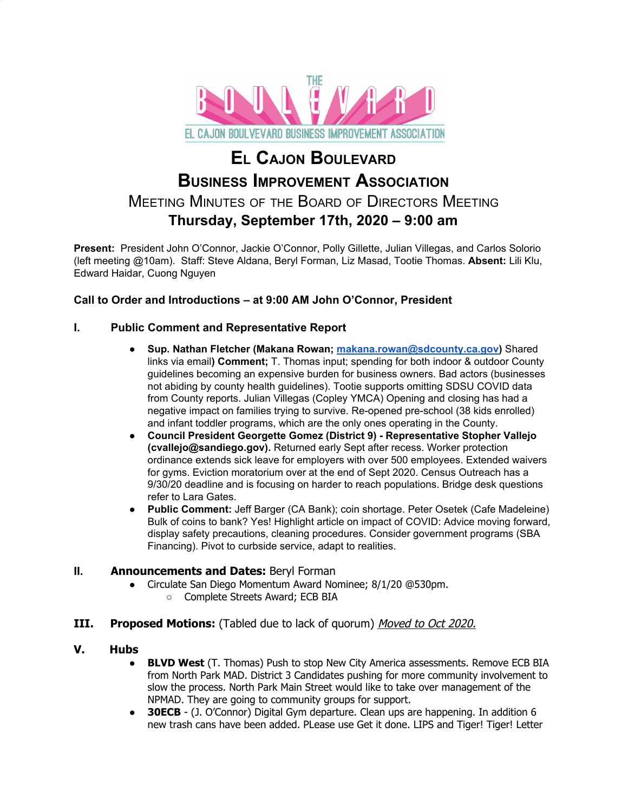

# **EL CAJON BOULEVARD BUSINESS IMPROVEMENT ASSOCIATION** MEETING MINUTES OF THE BOARD OF DIRECTORS MEETING **Thursday, September 17th, 2020 – 9:00 am**

**Present:** President John O'Connor, Jackie O'Connor, Polly Gillette, Julian Villegas, and Carlos Solorio (left meeting @10am). Staff: Steve Aldana, Beryl Forman, Liz Masad, Tootie Thomas. **Absent:** Lili Klu, Edward Haidar, Cuong Nguyen

## **Call to Order and Introductions – at 9:00 AM John O'Connor, President**

## **I. Public Comment and Representative Report**

- **● Sup. Nathan Fletcher (Makana Rowan; [makana.rowan@sdcounty.ca.gov\)](mailto:makana.rowan@sdcounty.ca.gov)** Shared links via email**) Comment;** T. Thomas input; spending for both indoor & outdoor County guidelines becoming an expensive burden for business owners. Bad actors (businesses not abiding by county health guidelines). Tootie supports omitting SDSU COVID data from County reports. Julian Villegas (Copley YMCA) Opening and closing has had a negative impact on families trying to survive. Re-opened pre-school (38 kids enrolled) and infant toddler programs, which are the only ones operating in the County.
- **● Council President Georgette Gomez (District 9) - Representative Stopher Vallejo (cvallejo@sandiego.gov).** Returned early Sept after recess. Worker protection ordinance extends sick leave for employers with over 500 employees. Extended waivers for gyms. Eviction moratorium over at the end of Sept 2020. Census Outreach has a 9/30/20 deadline and is focusing on harder to reach populations. Bridge desk questions refer to Lara Gates.
- **● Public Comment:** Jeff Barger (CA Bank); coin shortage. Peter Osetek (Cafe Madeleine) Bulk of coins to bank? Yes! Highlight article on impact of COVID: Advice moving forward, display safety precautions, cleaning procedures. Consider government programs (SBA Financing). Pivot to curbside service, adapt to realities.

## **II. Announcements and Dates:** Beryl Forman

- Circulate San Diego Momentum Award Nominee; 8/1/20 @530pm.
	- Complete Streets Award; ECB BIA
- **III. Proposed Motions:** (Tabled due to lack of quorum) Moved to Oct 2020.

#### **V. Hubs**

- **BLVD West** (T. Thomas) Push to stop New City America assessments. Remove ECB BIA from North Park MAD. District 3 Candidates pushing for more community involvement to slow the process. North Park Main Street would like to take over management of the NPMAD. They are going to community groups for support.
- **30ECB** (J. O'Connor) Digital Gym departure. Clean ups are happening. In addition 6 new trash cans have been added. PLease use Get it done. LIPS and Tiger! Tiger! Letter